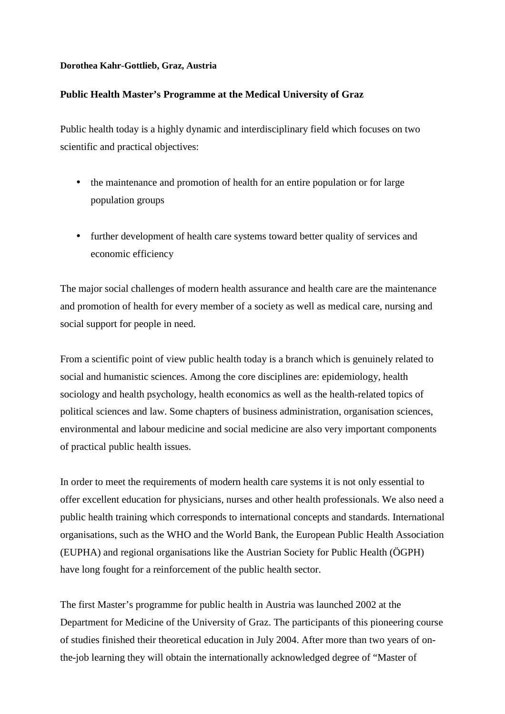## **Dorothea Kahr-Gottlieb, Graz, Austria**

## **Public Health Master's Programme at the Medical University of Graz**

Public health today is a highly dynamic and interdisciplinary field which focuses on two scientific and practical objectives:

- the maintenance and promotion of health for an entire population or for large population groups
- further development of health care systems toward better quality of services and economic efficiency

The major social challenges of modern health assurance and health care are the maintenance and promotion of health for every member of a society as well as medical care, nursing and social support for people in need.

From a scientific point of view public health today is a branch which is genuinely related to social and humanistic sciences. Among the core disciplines are: epidemiology, health sociology and health psychology, health economics as well as the health-related topics of political sciences and law. Some chapters of business administration, organisation sciences, environmental and labour medicine and social medicine are also very important components of practical public health issues.

In order to meet the requirements of modern health care systems it is not only essential to offer excellent education for physicians, nurses and other health professionals. We also need a public health training which corresponds to international concepts and standards. International organisations, such as the WHO and the World Bank, the European Public Health Association (EUPHA) and regional organisations like the Austrian Society for Public Health (ÖGPH) have long fought for a reinforcement of the public health sector.

The first Master's programme for public health in Austria was launched 2002 at the Department for Medicine of the University of Graz. The participants of this pioneering course of studies finished their theoretical education in July 2004. After more than two years of onthe-job learning they will obtain the internationally acknowledged degree of "Master of